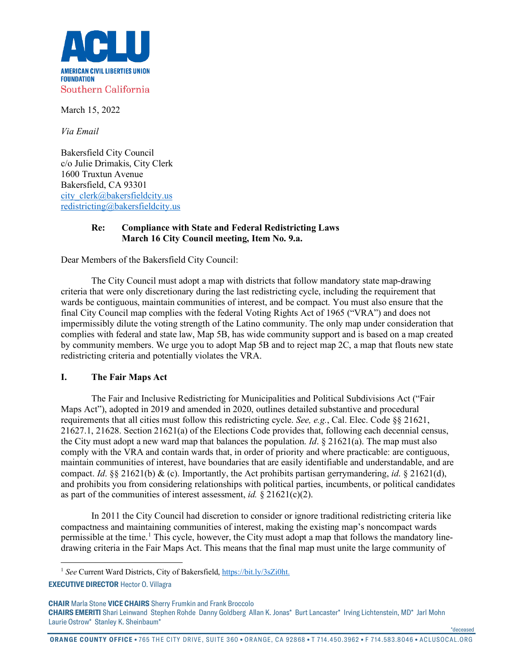

March 15, 2022

*Via Email*

Bakersfield City Council c/o Julie Drimakis, City Clerk 1600 Truxtun Avenue Bakersfield, CA 93301 [city\\_clerk@bakersfieldcity.us](mailto:city_clerk@bakersfieldcity.us) [redistricting@bakersfieldcity.us](mailto:redistricting@bakersfieldcity.us)

## **Re: Compliance with State and Federal Redistricting Laws March 16 City Council meeting, Item No. 9.a.**

Dear Members of the Bakersfield City Council:

The City Council must adopt a map with districts that follow mandatory state map-drawing criteria that were only discretionary during the last redistricting cycle, including the requirement that wards be contiguous, maintain communities of interest, and be compact. You must also ensure that the final City Council map complies with the federal Voting Rights Act of 1965 ("VRA") and does not impermissibly dilute the voting strength of the Latino community. The only map under consideration that complies with federal and state law, Map 5B, has wide community support and is based on a map created by community members. We urge you to adopt Map 5B and to reject map 2C, a map that flouts new state redistricting criteria and potentially violates the VRA.

## **I. The Fair Maps Act**

The Fair and Inclusive Redistricting for Municipalities and Political Subdivisions Act ("Fair Maps Act"), adopted in 2019 and amended in 2020, outlines detailed substantive and procedural requirements that all cities must follow this redistricting cycle. *See, e.g.*, Cal. Elec. Code §§ 21621, 21627.1, 21628. Section 21621(a) of the Elections Code provides that, following each decennial census, the City must adopt a new ward map that balances the population. *Id*. § 21621(a). The map must also comply with the VRA and contain wards that, in order of priority and where practicable: are contiguous, maintain communities of interest, have boundaries that are easily identifiable and understandable, and are compact. *Id*. §§ 21621(b) & (c). Importantly, the Act prohibits partisan gerrymandering, *id*. § 21621(d), and prohibits you from considering relationships with political parties, incumbents, or political candidates as part of the communities of interest assessment, *id.* § 21621(c)(2).

In 2011 the City Council had discretion to consider or ignore traditional redistricting criteria like compactness and maintaining communities of interest, making the existing map's noncompact wards permissible at the time.<sup>[1](#page-0-0)</sup> This cycle, however, the City must adopt a map that follows the mandatory linedrawing criteria in the Fair Maps Act. This means that the final map must unite the large community of

**ORANGE COUNTY OFFICE** • 765 THE CITY DRIVE, SUITE 360 • ORANGE, CA 92868 • T 714.450.3962 • F 714.583.8046 • ACLUSOCAL.ORG

\*deceased

<sup>&</sup>lt;sup>1</sup> See Current Ward Districts, City of Bakersfield[, https://bit.ly/3sZi0ht.](https://bit.ly/3sZi0ht)

<span id="page-0-0"></span>**EXECUTIVE DIRECTOR** Hector O. Villagra

**CHAIR** Marla Stone **VICE CHAIRS** Sherry Frumkin and Frank Broccolo **CHAIRS EMERITI** Shari Leinwand Stephen Rohde Danny Goldberg Allan K. Jonas\* Burt Lancaster\* Irving Lichtenstein, MD\* Jarl Mohn Laurie Ostrow\* Stanley K. Sheinbaum\*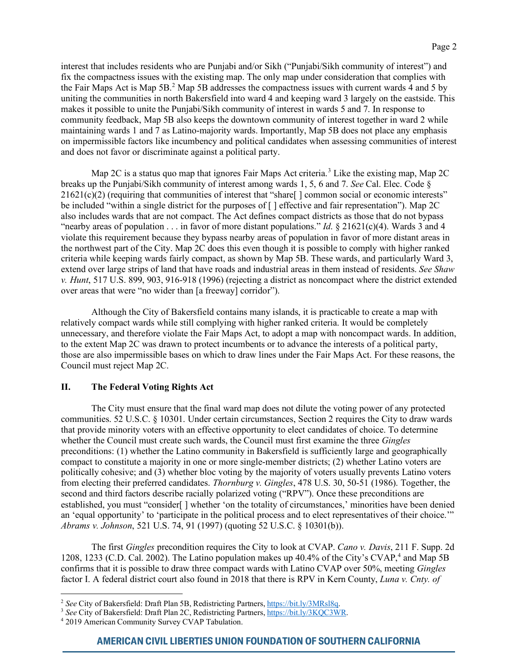interest that includes residents who are Punjabi and/or Sikh ("Punjabi/Sikh community of interest") and fix the compactness issues with the existing map. The only map under consideration that complies with the Fair Maps Act is Map 5B.<sup>[2](#page-1-0)</sup> Map 5B addresses the compactness issues with current wards 4 and 5 by uniting the communities in north Bakersfield into ward 4 and keeping ward 3 largely on the eastside. This makes it possible to unite the Punjabi/Sikh community of interest in wards 5 and 7. In response to community feedback, Map 5B also keeps the downtown community of interest together in ward 2 while maintaining wards 1 and 7 as Latino-majority wards. Importantly, Map 5B does not place any emphasis on impermissible factors like incumbency and political candidates when assessing communities of interest and does not favor or discriminate against a political party.

Map 2C is a status quo map that ignores Fair Maps Act criteria.<sup>[3](#page-1-1)</sup> Like the existing map, Map 2C breaks up the Punjabi/Sikh community of interest among wards 1, 5, 6 and 7. *See* Cal. Elec. Code § 21621(c)(2) (requiring that communities of interest that "share[ ] common social or economic interests" be included "within a single district for the purposes of  $\lceil \cdot \rceil$  effective and fair representation"). Map 2C also includes wards that are not compact. The Act defines compact districts as those that do not bypass "nearby areas of population . . . in favor of more distant populations." *Id*. § 21621(c)(4). Wards 3 and 4 violate this requirement because they bypass nearby areas of population in favor of more distant areas in the northwest part of the City. Map 2C does this even though it is possible to comply with higher ranked criteria while keeping wards fairly compact, as shown by Map 5B. These wards, and particularly Ward 3, extend over large strips of land that have roads and industrial areas in them instead of residents. *See Shaw v. Hunt*, 517 U.S. 899, 903, 916-918 (1996) (rejecting a district as noncompact where the district extended over areas that were "no wider than [a freeway] corridor").

Although the City of Bakersfield contains many islands, it is practicable to create a map with relatively compact wards while still complying with higher ranked criteria. It would be completely unnecessary, and therefore violate the Fair Maps Act, to adopt a map with noncompact wards. In addition, to the extent Map 2C was drawn to protect incumbents or to advance the interests of a political party, those are also impermissible bases on which to draw lines under the Fair Maps Act. For these reasons, the Council must reject Map 2C.

## **II. The Federal Voting Rights Act**

The City must ensure that the final ward map does not dilute the voting power of any protected communities. 52 U.S.C. § 10301. Under certain circumstances, Section 2 requires the City to draw wards that provide minority voters with an effective opportunity to elect candidates of choice. To determine whether the Council must create such wards, the Council must first examine the three *Gingles* preconditions: (1) whether the Latino community in Bakersfield is sufficiently large and geographically compact to constitute a majority in one or more single-member districts; (2) whether Latino voters are politically cohesive; and (3) whether bloc voting by the majority of voters usually prevents Latino voters from electing their preferred candidates. *Thornburg v. Gingles*, 478 U.S. 30, 50-51 (1986). Together, the second and third factors describe racially polarized voting ("RPV"). Once these preconditions are established, you must "consider[ ] whether 'on the totality of circumstances,' minorities have been denied an 'equal opportunity' to 'participate in the political process and to elect representatives of their choice.'" *Abrams v. Johnson*, 521 U.S. 74, 91 (1997) (quoting 52 U.S.C. § 10301(b)).

The first *Gingles* precondition requires the City to look at CVAP. *Cano v. Davis*, 211 F. Supp. 2d 1208, 1233 (C.D. Cal. 2002). The Latino population makes up [4](#page-1-2)0.4% of the City's CVAP,<sup>4</sup> and Map 5B confirms that it is possible to draw three compact wards with Latino CVAP over 50%, meeting *Gingles* factor I. A federal district court also found in 2018 that there is RPV in Kern County, *Luna v. Cnty. of* 

<span id="page-1-1"></span><span id="page-1-0"></span><sup>&</sup>lt;sup>2</sup> See City of Bakersfield: Draft Plan 5B, Redistricting Partners,  $\frac{https://bit.ly/3MRs18q}{https://bit.ly/3MRs18q}$ <br><sup>3</sup> See City of Bakersfield: Draft Plan 2C, Redistricting Partners,  $\frac{https://bit.ly/3KQC3WR}{https://bit.ly/3KQC3WR}$ .<br><sup>4</sup> 2019 American Comm

<span id="page-1-2"></span>